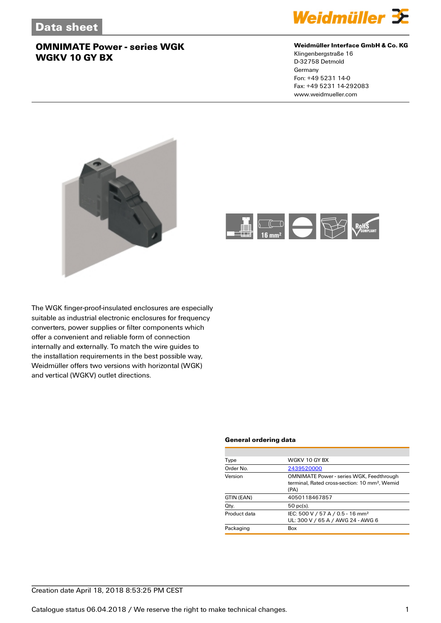

### **Weidmüller Interface GmbH & Co. KG**

Klingenbergstraße 16 D-32758 Detmold Germany Fon: +49 5231 14-0 Fax: +49 5231 14-292083 www.weidmueller.com





The WGK finger-proof-insulated enclosures are especially suitable as industrial electronic enclosures for frequency converters, power supplies or filter components which offer a convenient and reliable form of connection internally and externally. To match the wire guides to the installation requirements in the best possible way, Weidmüller offers two versions with horizontal (WGK) and vertical (WGKV) outlet directions.

#### **General ordering data**

| Type         | WGKV 10 GY BX                                                                                                        |
|--------------|----------------------------------------------------------------------------------------------------------------------|
| Order No.    | 2439520000                                                                                                           |
| Version      | <b>OMNIMATE Power - series WGK, Feedthrough</b><br>terminal, Rated cross-section: 10 mm <sup>2</sup> , Wemid<br>(PA) |
| GTIN (EAN)   | 4050118467857                                                                                                        |
| Qty.         | $50$ pc(s).                                                                                                          |
| Product data | IEC: 500 V / 57 A / 0.5 - 16 mm <sup>2</sup><br>UL: 300 V / 65 A / AWG 24 - AWG 6                                    |
| Packaging    | Box                                                                                                                  |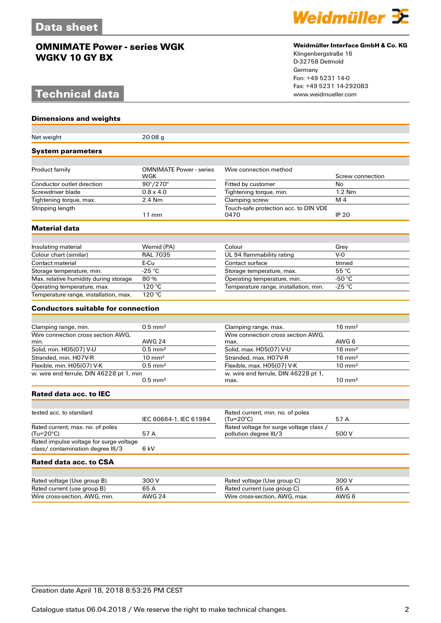# **Technical data**

**Dimensions and weights**



#### **Weidmüller Interface GmbH & Co. KG**

Klingenbergstraße 16 D-32758 Detmold Germany Fon: +49 5231 14-0 Fax: +49 5231 14-292083

| Net weight                                    | 20.08 <sub>g</sub>                    |                                                                   |                   |
|-----------------------------------------------|---------------------------------------|-------------------------------------------------------------------|-------------------|
| <b>System parameters</b>                      |                                       |                                                                   |                   |
| Product family                                | <b>OMNIMATE Power - series</b><br>WGK | Wire connection method                                            | Screw connection  |
| Conductor outlet direction                    | $90^{\circ}/270^{\circ}$              | Fitted by customer                                                | No                |
| Screwdriver blade                             | $0.8 \times 4.0$                      | Tightening torque, min.                                           | $1.2$ Nm          |
| Tightening torque, max.                       | 2.4 Nm                                | Clamping screw                                                    | M <sub>4</sub>    |
| Stripping length                              | $11 \text{ mm}$                       | Touch-safe protection acc. to DIN VDE<br>0470                     | <b>IP 20</b>      |
| <b>Material data</b>                          |                                       |                                                                   |                   |
|                                               |                                       |                                                                   |                   |
| Insulating material                           | Wemid (PA)                            | Colour                                                            | Grey              |
| Colour chart (similar)                        | <b>RAL 7035</b>                       | UL 94 flammability rating                                         | $V-0$             |
| Contact material                              | E-Cu                                  | Contact surface                                                   | tinned            |
| Storage temperature, min.                     | $-25$ °C                              | Storage temperature, max.                                         | 55 °C             |
| Max. relative humidity during storage         | 80%                                   | Operating temperature, min.                                       | -50 °C            |
| Operating temperature, max.                   | 120 °C                                | Temperature range, installation, min.                             | -25 °C            |
| Temperature range, installation, max.         | 120 °C                                |                                                                   |                   |
| <b>Conductors suitable for connection</b>     |                                       |                                                                   |                   |
|                                               |                                       |                                                                   |                   |
| Clamping range, min.                          | $0.5$ mm <sup>2</sup>                 | Clamping range, max.                                              | $16 \text{ mm}^2$ |
| Wire connection cross section AWG.            |                                       | Wire connection cross section AWG,                                |                   |
| min.                                          | <b>AWG 24</b>                         | max.                                                              | AWG 6             |
| Solid, min. H05(07) V-U                       | $0.5$ mm <sup>2</sup>                 | Solid, max. H05(07) V-U                                           | $16 \text{ mm}^2$ |
| Stranded, min. H07V-R                         | $10 \text{ mm}^2$                     | Stranded, max. H07V-R                                             | $16 \text{ mm}^2$ |
| Flexible, min. H05(07) V-K                    | $0.5$ mm <sup>2</sup>                 | Flexible, max. H05(07) V-K                                        | $10 \text{ mm}^2$ |
| w. wire end ferrule, DIN 46228 pt 1, min      | $0.5$ mm <sup>2</sup>                 | w. wire end ferrule, DIN 46228 pt 1,<br>max.                      | $10 \text{ mm}^2$ |
| Rated data acc. to IEC                        |                                       |                                                                   |                   |
|                                               |                                       |                                                                   |                   |
| tested acc. to standard                       |                                       | Rated current, min. no. of poles                                  |                   |
|                                               | IEC 60664-1, IEC 61984                | $(Tu=20^{\circ}C)$                                                | 57 A              |
| Rated current, max. no. of poles<br>(Tu=20°C) | 57 A                                  | Rated voltage for surge voltage class /<br>pollution degree III/3 | 500 V             |
| Rated impulse voltage for surge voltage       |                                       |                                                                   |                   |
| class/ contamination degree III/3             | 6 kV                                  |                                                                   |                   |
| Rated data acc. to CSA                        |                                       |                                                                   |                   |
|                                               |                                       |                                                                   |                   |
| Rated voltage (Use group B)                   | 300 V                                 | Rated voltage (Use group C)                                       | 300 V             |
| Rated current (use group B)                   | 65 A                                  | Rated current (use group C)                                       | 65 A              |
| Wire cross-section, AWG, min.                 | <b>AWG 24</b>                         | Wire cross-section, AWG, max.                                     | AWG 6             |
|                                               |                                       |                                                                   |                   |

Creation date April 18, 2018 8:53:25 PM CEST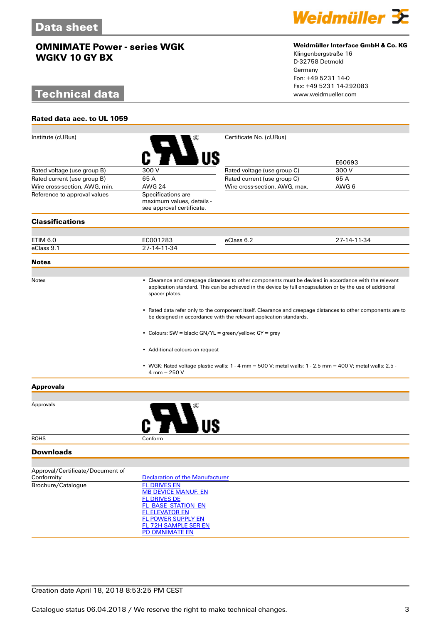# **Technical data**

**Rated data acc. to UL 1059**



#### **Weidmüller Interface GmbH & Co. KG**

Klingenbergstraße 16 D-32758 Detmold Germany Fon: +49 5231 14-0 Fax: +49 5231 14-292083

| Institute (cURus)                |                                                                                                                                                                                                                                                                                 | Certificate No. (cURus)                                                                                       |             |  |  |
|----------------------------------|---------------------------------------------------------------------------------------------------------------------------------------------------------------------------------------------------------------------------------------------------------------------------------|---------------------------------------------------------------------------------------------------------------|-------------|--|--|
|                                  |                                                                                                                                                                                                                                                                                 |                                                                                                               | E60693      |  |  |
| Rated voltage (use group B)      | 300 V                                                                                                                                                                                                                                                                           | Rated voltage (use group C)                                                                                   | 300 V       |  |  |
| Rated current (use group B)      | 65A                                                                                                                                                                                                                                                                             | Rated current (use group C)                                                                                   | 65 A        |  |  |
| Wire cross-section, AWG, min.    | <b>AWG 24</b>                                                                                                                                                                                                                                                                   | Wire cross-section, AWG, max.                                                                                 | AWG 6       |  |  |
| Reference to approval values     | Specifications are<br>maximum values, details -<br>see approval certificate.                                                                                                                                                                                                    |                                                                                                               |             |  |  |
| <b>Classifications</b>           |                                                                                                                                                                                                                                                                                 |                                                                                                               |             |  |  |
|                                  |                                                                                                                                                                                                                                                                                 |                                                                                                               |             |  |  |
| ETIM 6.0                         | EC001283                                                                                                                                                                                                                                                                        | eClass 6.2                                                                                                    | 27-14-11-34 |  |  |
| eClass 9.1                       | 27-14-11-34                                                                                                                                                                                                                                                                     |                                                                                                               |             |  |  |
| <b>Notes</b>                     |                                                                                                                                                                                                                                                                                 |                                                                                                               |             |  |  |
| Notes                            | • Clearance and creepage distances to other components must be devised in accordance with the relevant<br>application standard. This can be achieved in the device by full encapsulation or by the use of additional<br>spacer plates.                                          |                                                                                                               |             |  |  |
|                                  | • Rated data refer only to the component itself. Clearance and creepage distances to other components are to<br>be designed in accordance with the relevant application standards.<br>• Colours: SW = black; GN/YL = green/yellow; GY = grey<br>• Additional colours on request |                                                                                                               |             |  |  |
|                                  |                                                                                                                                                                                                                                                                                 |                                                                                                               |             |  |  |
|                                  |                                                                                                                                                                                                                                                                                 |                                                                                                               |             |  |  |
|                                  | $4 \text{ mm} = 250 \text{ V}$                                                                                                                                                                                                                                                  | • WGK: Rated voltage plastic walls: $1 - 4$ mm = 500 V; metal walls: $1 - 2.5$ mm = 400 V; metal walls: 2.5 - |             |  |  |
| <b>Approvals</b>                 |                                                                                                                                                                                                                                                                                 |                                                                                                               |             |  |  |
|                                  |                                                                                                                                                                                                                                                                                 |                                                                                                               |             |  |  |
| Approvals                        |                                                                                                                                                                                                                                                                                 |                                                                                                               |             |  |  |
| <b>ROHS</b>                      | Conform                                                                                                                                                                                                                                                                         |                                                                                                               |             |  |  |
| <b>Downloads</b>                 |                                                                                                                                                                                                                                                                                 |                                                                                                               |             |  |  |
| Approval/Certificate/Document of |                                                                                                                                                                                                                                                                                 |                                                                                                               |             |  |  |
| Conformity                       | <b>Declaration of the Manufacturer</b>                                                                                                                                                                                                                                          |                                                                                                               |             |  |  |
| Brochure/Catalogue               | <b>FL DRIVES EN</b>                                                                                                                                                                                                                                                             |                                                                                                               |             |  |  |
|                                  | <b>MB DEVICE MANUF. EN</b>                                                                                                                                                                                                                                                      |                                                                                                               |             |  |  |
|                                  | <b>FL DRIVES DE</b>                                                                                                                                                                                                                                                             |                                                                                                               |             |  |  |
|                                  | <b>FL_BASE_STATION_EN</b><br><b>FL ELEVATOR EN</b>                                                                                                                                                                                                                              |                                                                                                               |             |  |  |
|                                  | <b>FL POWER SUPPLY EN</b>                                                                                                                                                                                                                                                       |                                                                                                               |             |  |  |
|                                  | <b>FL 72H SAMPLE SER EN</b>                                                                                                                                                                                                                                                     |                                                                                                               |             |  |  |
|                                  | PO OMNIMATE EN                                                                                                                                                                                                                                                                  |                                                                                                               |             |  |  |

### Creation date April 18, 2018 8:53:25 PM CEST

Catalogue status 06.04.2018 / We reserve the right to make technical changes. 33